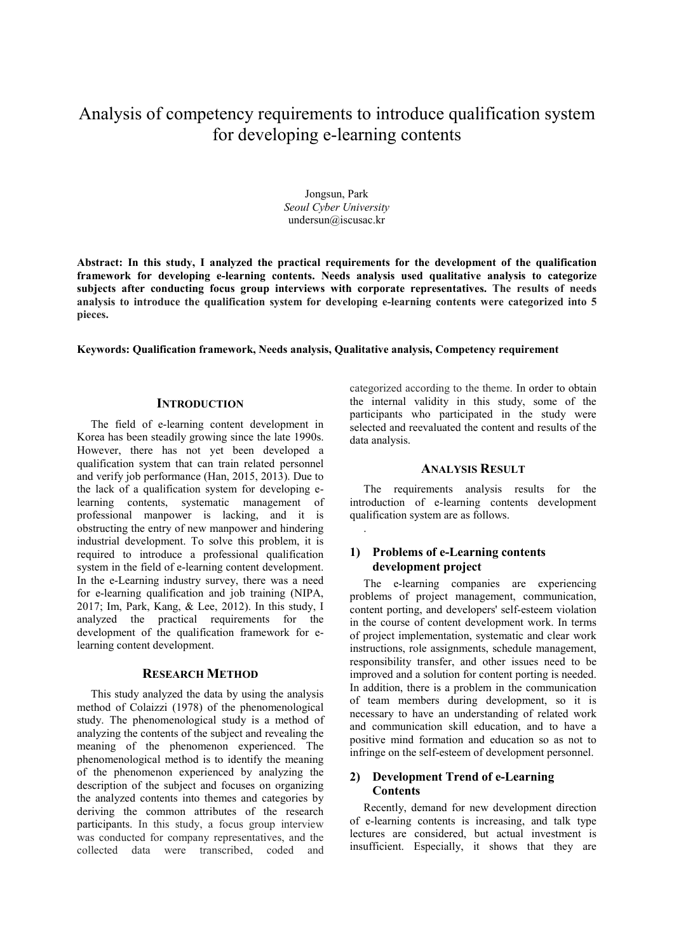# Analysis of competency requirements to introduce qualification system for developing e-learning contents

Jongsun, Park *Seoul Cyber University* undersun@iscusac.kr

**Abstract: In this study, I analyzed the practical requirements for the development of the qualification framework for developing e-learning contents. Needs analysis used qualitative analysis to categorize subjects after conducting focus group interviews with corporate representatives. The results of needs analysis to introduce the qualification system for developing e-learning contents were categorized into 5 pieces.**

.

#### **Keywords: Qualification framework, Needs analysis, Qualitative analysis, Competency requirement**

### **INTRODUCTION**

The field of e-learning content development in Korea has been steadily growing since the late 1990s. However, there has not yet been developed a qualification system that can train related personnel and verify job performance (Han, 2015, 2013). Due to the lack of a qualification system for developing elearning contents, systematic management of professional manpower is lacking, and it is obstructing the entry of new manpower and hindering industrial development. To solve this problem, it is required to introduce a professional qualification system in the field of e-learning content development. In the e-Learning industry survey, there was a need for e-learning qualification and job training (NIPA, 2017; Im, Park, Kang, & Lee, 2012). In this study, I analyzed the practical requirements for the development of the qualification framework for elearning content development.

### **RESEARCH METHOD**

This study analyzed the data by using the analysis method of Colaizzi (1978) of the phenomenological study. The phenomenological study is a method of analyzing the contents of the subject and revealing the meaning of the phenomenon experienced. The phenomenological method is to identify the meaning of the phenomenon experienced by analyzing the description of the subject and focuses on organizing the analyzed contents into themes and categories by deriving the common attributes of the research participants. In this study, a focus group interview was conducted for company representatives, and the collected data were transcribed, coded and

categorized according to the theme. In order to obtain the internal validity in this study, some of the participants who participated in the study were selected and reevaluated the content and results of the data analysis.

#### **ANALYSIS RESULT**

The requirements analysis results for the introduction of e-learning contents development qualification system are as follows.

# **1) Problems of e-Learning contents development project**

The e-learning companies are experiencing problems of project management, communication, content porting, and developers' self-esteem violation in the course of content development work. In terms of project implementation, systematic and clear work instructions, role assignments, schedule management, responsibility transfer, and other issues need to be improved and a solution for content porting is needed. In addition, there is a problem in the communication of team members during development, so it is necessary to have an understanding of related work and communication skill education, and to have a positive mind formation and education so as not to infringe on the self-esteem of development personnel.

# **2) Development Trend of e-Learning Contents**

Recently, demand for new development direction of e-learning contents is increasing, and talk type lectures are considered, but actual investment is insufficient. Especially, it shows that they are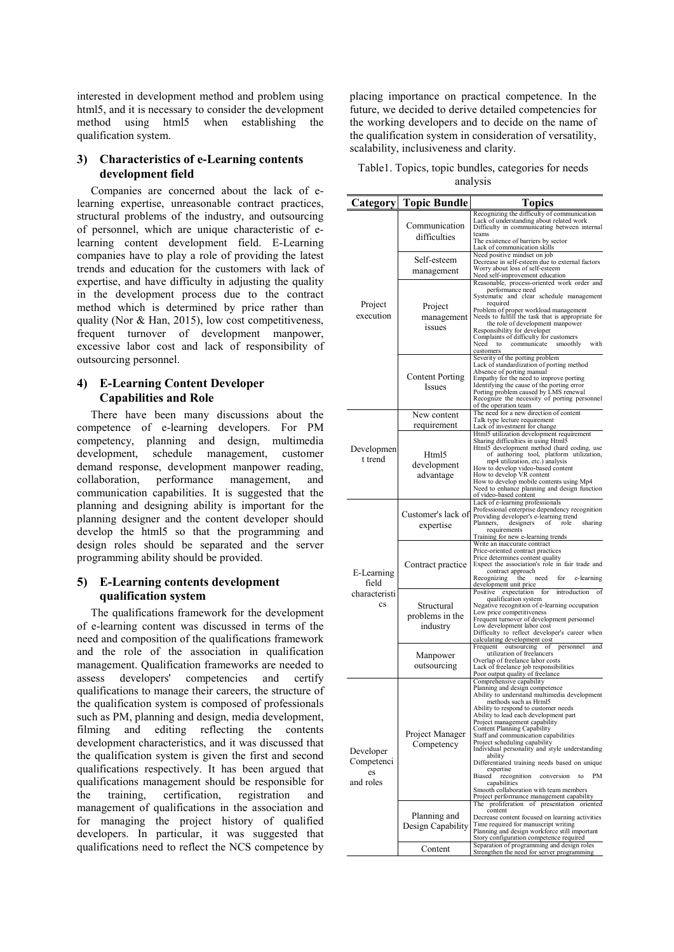interested in development method and problem using html5, and it is necessary to consider the development method using html5 when establishing the qualification system.

## **3) Characteristics of e-Learning contents development field**

Companies are concerned about the lack of elearning expertise, unreasonable contract practices, structural problems of the industry, and outsourcing of personnel, which are unique characteristic of elearning content development field. E-Learning companies have to play a role of providing the latest trends and education for the customers with lack of expertise, and have difficulty in adjusting the quality in the development process due to the contract method which is determined by price rather than quality (Nor & Han, 2015), low cost competitiveness, frequent turnover of development manpower, excessive labor cost and lack of responsibility of outsourcing personnel.

## **4) E-Learning Content Developer Capabilities and Role**

There have been many discussions about the competence of e-learning developers. For PM competency, planning and design, multimedia development, schedule management, customer demand response, development manpower reading, collaboration, performance management, and communication capabilities. It is suggested that the planning and designing ability is important for the planning designer and the content developer should develop the html5 so that the programming and design roles should be separated and the server programming ability should be provided.

# **5) E-Learning contents development qualification system**

The qualifications framework for the development of e-learning content was discussed in terms of the need and composition of the qualifications framework and the role of the association in qualification management. Qualification frameworks are needed to assess developers' competencies and certify qualifications to manage their careers, the structure of the qualification system is composed of professionals such as PM, planning and design, media development, filming and editing reflecting the contents development characteristics, and it was discussed that the qualification system is given the first and second qualifications respectively. It has been argued that qualifications management should be responsible for the training, certification, registration and management of qualifications in the association and for managing the project history of qualified developers. In particular, it was suggested that qualifications need to reflect the NCS competence by placing importance on practical competence. In the future, we decided to derive detailed competencies for the working developers and to decide on the name of the qualification system in consideration of versatility, scalability, inclusiveness and clarity.

| Table1. Topics, topic bundles, categories for needs |          |  |
|-----------------------------------------------------|----------|--|
|                                                     | analysis |  |

|                                                                | <b>Category</b> Topic Bundle              | <b>Topics</b>                                                                                                                                                                                                                                                                                                                                                                                                                                                                                                                                                                                                                                                                                    |
|----------------------------------------------------------------|-------------------------------------------|--------------------------------------------------------------------------------------------------------------------------------------------------------------------------------------------------------------------------------------------------------------------------------------------------------------------------------------------------------------------------------------------------------------------------------------------------------------------------------------------------------------------------------------------------------------------------------------------------------------------------------------------------------------------------------------------------|
| Project<br>execution                                           | Communication<br>difficulties             | Recognizing the difficulty of communication<br>Lack of understanding about related work<br>Difficulty in communicating between internal<br>teams<br>The existence of barriers by sector<br>Lack of communication skills                                                                                                                                                                                                                                                                                                                                                                                                                                                                          |
|                                                                | Self-esteem<br>management                 | Need positive mindset on job<br>Decrease in self-esteem due to external factors<br>Worry about loss of self-esteem                                                                                                                                                                                                                                                                                                                                                                                                                                                                                                                                                                               |
|                                                                | Project<br>management<br>issues           | Need self-improvement education<br>Reasonable, process-oriented work order and<br>performance need<br>Systematic and clear schedule management<br>required<br>Problem of proper workload management<br>Needs to fulfill the task that is appropriate for<br>the role of development manpower<br>Responsibility for developer<br>Complaints of difficulty for customers<br>Need<br>communicate<br>smoothly<br>with<br>to<br>customers                                                                                                                                                                                                                                                             |
|                                                                | <b>Content Porting</b><br>Issues          | Severity of the porting problem<br>Lack of standardization of porting method<br>Absence of porting manual<br>Empathy for the need to improve porting<br>Identifying the cause of the porting error<br>Porting problem caused by LMS renewal<br>Recognize the necessity of porting personnel<br>of the operation team                                                                                                                                                                                                                                                                                                                                                                             |
| Developmen<br>t trend                                          | New content<br>requirement                | The need for a new direction of content<br>Talk type lecture requirement<br>Lack of investment for change                                                                                                                                                                                                                                                                                                                                                                                                                                                                                                                                                                                        |
|                                                                | Html5<br>development<br>advantage         | Html5 utilization development requirement<br>Sharing difficulties in using Html5<br>Html5 development method (hard coding, use<br>of authoring tool, platform utilization,<br>mp4 utilization, etc.) analysis<br>How to develop video-based content<br>How to develop VR content<br>How to develop mobile contents using Mp4<br>Need to enhance planning and design function<br>of video-based content                                                                                                                                                                                                                                                                                           |
| E-Learning<br>field<br>characteristi<br>$\mathbf{c}\mathbf{s}$ | Customer's lack of<br>expertise           | Lack of e-learning professionals<br>Professional enterprise dependency recognition<br>Providing developer's e-learning trend<br>Planners,<br>designers<br>of<br>role<br>sharing<br>requirements<br>Training for new e-learning trends                                                                                                                                                                                                                                                                                                                                                                                                                                                            |
|                                                                | Contract practice                         | Write an inaccurate contract<br>Price-oriented contract practices<br>Price determines content quality<br>Expect the association's role in fair trade and<br>contract approach<br>Recognizing<br>the<br>need<br>for<br>e-learning<br>development unit price                                                                                                                                                                                                                                                                                                                                                                                                                                       |
|                                                                | Structural<br>problems in the<br>industry | expectation<br>for<br>introduction<br>of<br>Positive<br>qualification system<br>Negative recognition of e-learning occupation<br>Low price competitiveness<br>Frequent turnover of development personnel<br>Low development labor cost<br>Difficulty to reflect developer's career when<br>calculating development cost                                                                                                                                                                                                                                                                                                                                                                          |
|                                                                | Manpower<br>outsourcing                   | outsourcing<br>personnel<br>and<br>Frequent<br>ot<br>utilization of freelancers<br>Overlap of freelance labor costs<br>Lack of freelance job responsibilities<br>Poor output quality of freelance                                                                                                                                                                                                                                                                                                                                                                                                                                                                                                |
| Developer<br>Competenci<br>es<br>and roles                     | Project Manager<br>Competency             | Comprehensive capability<br>Planning and design competence<br>Ability to understand multimedia development<br>methods such as Hrml5<br>Ability to respond to customer needs<br>Ability to lead each development part<br>Project management capability<br>Content Planning Capability<br>Staff and communication capabilities<br>Project scheduling capability<br>Individual personality and style understanding<br>ability<br>Differentiated training needs based on unique<br>expertise<br>recognition<br>PM<br>Biased<br>conversion<br>to<br>capabilities<br>Smooth collaboration with team members<br>Project performance management capability<br>The proliferation of presentation oriented |
|                                                                | Planning and<br>Design Capability         | content<br>Decrease content focused on learning activities<br>Time required for manuscript writing<br>Planning and design workforce still important<br>Story configuration competence required                                                                                                                                                                                                                                                                                                                                                                                                                                                                                                   |
|                                                                | Content                                   | Separation of programming and design roles<br>Strengthen the need for server programming                                                                                                                                                                                                                                                                                                                                                                                                                                                                                                                                                                                                         |